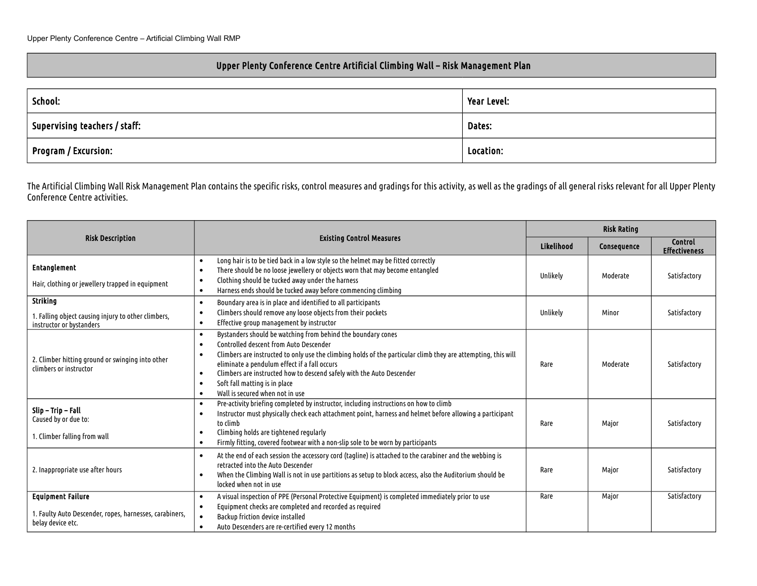## Upper Plenty Conference Centre Artificial Climbing Wall – Risk Management Plan

| School:                                                                                                 | Year Level: |  |
|---------------------------------------------------------------------------------------------------------|-------------|--|
| $\mathrel{\mathop{\rule{0pt}{\scriptsize\textstyle\leftarrow}}\nolimits}$ Supervising teachers / staff: | Dates:      |  |
| Program / Excursion:                                                                                    | Location:   |  |

The Artificial Climbing Wall Risk Management Plan contains the specific risks, control measures and gradings for this activity, as well as the gradings of all general risks relevant for all Upper Plenty Conference Centre activities.

|                                                                                                          |                                                                                                                                                                                                                                                                                                                                                                                                                                                             | <b>Risk Rating</b> |             |                                 |
|----------------------------------------------------------------------------------------------------------|-------------------------------------------------------------------------------------------------------------------------------------------------------------------------------------------------------------------------------------------------------------------------------------------------------------------------------------------------------------------------------------------------------------------------------------------------------------|--------------------|-------------|---------------------------------|
| <b>Risk Description</b>                                                                                  | <b>Existing Control Measures</b>                                                                                                                                                                                                                                                                                                                                                                                                                            | Likelihood         | Consequence | Control<br><b>Effectiveness</b> |
| <b>Entanglement</b><br>Hair, clothing or jewellery trapped in equipment                                  | Long hair is to be tied back in a low style so the helmet may be fitted correctly<br>There should be no loose jewellery or objects worn that may become entangled<br>$\bullet$<br>Clothing should be tucked away under the harness<br>Harness ends should be tucked away before commencing climbing<br>$\bullet$                                                                                                                                            | Unlikely           | Moderate    | Satisfactory                    |
| <b>Striking</b><br>1. Falling object causing injury to other climbers,<br>instructor or bystanders       | Boundary area is in place and identified to all participants<br>$\bullet$<br>Climbers should remove any loose objects from their pockets<br>Effective group management by instructor<br>$\bullet$                                                                                                                                                                                                                                                           | Unlikely           | Minor       | Satisfactory                    |
| 2. Climber hitting ground or swinging into other<br>climbers or instructor                               | Bystanders should be watching from behind the boundary cones<br>Controlled descent from Auto Descender<br>$\bullet$<br>Climbers are instructed to only use the climbing holds of the particular climb they are attempting, this will<br>eliminate a pendulum effect if a fall occurs<br>Climbers are instructed how to descend safely with the Auto Descender<br>$\bullet$<br>Soft fall matting is in place<br>Wall is secured when not in use<br>$\bullet$ | Rare               | Moderate    | Satisfactory                    |
| Slip – Trip – Fall<br>Caused by or due to:<br>1. Climber falling from wall                               | Pre-activity briefing completed by instructor, including instructions on how to climb<br>$\bullet$<br>Instructor must physically check each attachment point, harness and helmet before allowing a participant<br>to climb<br>Climbing holds are tightened regularly<br>$\bullet$<br>Firmly fitting, covered footwear with a non-slip sole to be worn by participants                                                                                       | Rare               | Major       | Satisfactory                    |
| 2. Inappropriate use after hours                                                                         | At the end of each session the accessory cord (tagline) is attached to the carabiner and the webbing is<br>retracted into the Auto Descender<br>When the Climbing Wall is not in use partitions as setup to block access, also the Auditorium should be<br>locked when not in use                                                                                                                                                                           |                    | Major       | Satisfactory                    |
| <b>Equipment Failure</b><br>1. Faulty Auto Descender, ropes, harnesses, carabiners,<br>belay device etc. | A visual inspection of PPE (Personal Protective Equipment) is completed immediately prior to use<br>$\bullet$<br>Equipment checks are completed and recorded as required<br>Backup friction device installed<br>Auto Descenders are re-certified every 12 months<br>$\bullet$                                                                                                                                                                               | Rare               | Major       | Satisfactory                    |